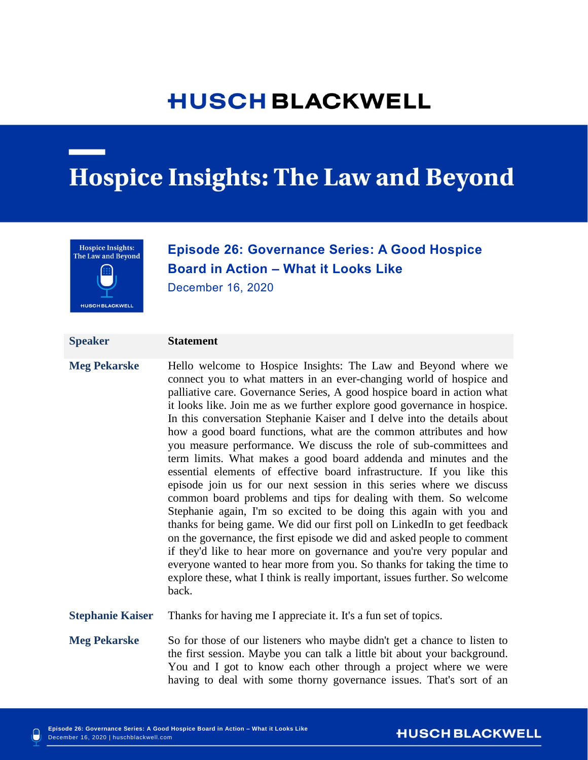# **HUSCH BLACKWELL**

# **Hospice Insights: The Law and Beyond**



# **Episode 26: Governance Series: A Good Hospice Board in Action – What it Looks Like**

December 16, 2020

## **Speaker Statement**

**Meg Pekarske** Hello welcome to Hospice Insights: The Law and Beyond where we connect you to what matters in an ever-changing world of hospice and palliative care. Governance Series, A good hospice board in action what it looks like. Join me as we further explore good governance in hospice. In this conversation Stephanie Kaiser and I delve into the details about how a good board functions, what are the common attributes and how you measure performance. We discuss the role of sub-committees and term limits. What makes a good board addenda and minutes and the essential elements of effective board infrastructure. If you like this episode join us for our next session in this series where we discuss common board problems and tips for dealing with them. So welcome Stephanie again, I'm so excited to be doing this again with you and thanks for being game. We did our first poll on LinkedIn to get feedback on the governance, the first episode we did and asked people to comment if they'd like to hear more on governance and you're very popular and everyone wanted to hear more from you. So thanks for taking the time to explore these, what I think is really important, issues further. So welcome back.

**Stephanie Kaiser** Thanks for having me I appreciate it. It's a fun set of topics.

**Meg Pekarske** So for those of our listeners who maybe didn't get a chance to listen to the first session. Maybe you can talk a little bit about your background. You and I got to know each other through a project where we were having to deal with some thorny governance issues. That's sort of an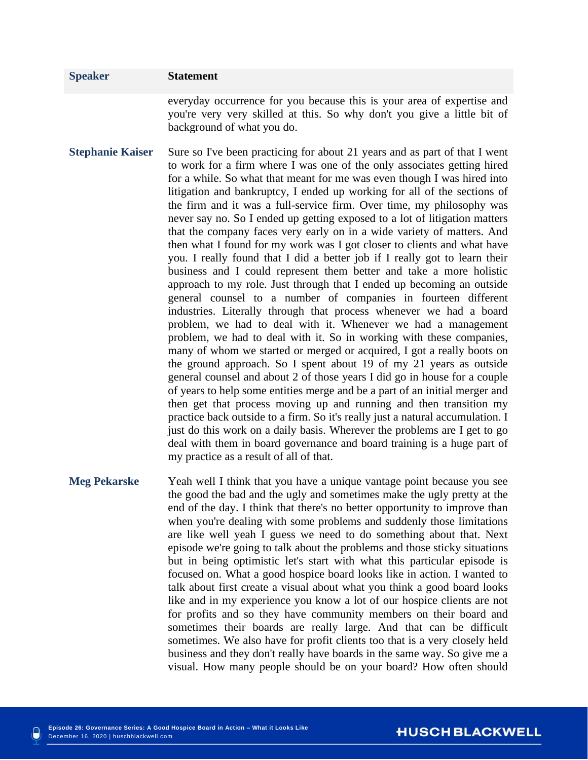# **Speaker Statement** everyday occurrence for you because this is your area of expertise and you're very very skilled at this. So why don't you give a little bit of background of what you do. **Stephanie Kaiser** Sure so I've been practicing for about 21 years and as part of that I went to work for a firm where I was one of the only associates getting hired for a while. So what that meant for me was even though I was hired into litigation and bankruptcy, I ended up working for all of the sections of

the firm and it was a full-service firm. Over time, my philosophy was never say no. So I ended up getting exposed to a lot of litigation matters that the company faces very early on in a wide variety of matters. And then what I found for my work was I got closer to clients and what have you. I really found that I did a better job if I really got to learn their business and I could represent them better and take a more holistic approach to my role. Just through that I ended up becoming an outside general counsel to a number of companies in fourteen different industries. Literally through that process whenever we had a board problem, we had to deal with it. Whenever we had a management problem, we had to deal with it. So in working with these companies, many of whom we started or merged or acquired, I got a really boots on the ground approach. So I spent about 19 of my 21 years as outside general counsel and about 2 of those years I did go in house for a couple of years to help some entities merge and be a part of an initial merger and then get that process moving up and running and then transition my practice back outside to a firm. So it's really just a natural accumulation. I just do this work on a daily basis. Wherever the problems are I get to go deal with them in board governance and board training is a huge part of my practice as a result of all of that.

**Meg Pekarske** Yeah well I think that you have a unique vantage point because you see the good the bad and the ugly and sometimes make the ugly pretty at the end of the day. I think that there's no better opportunity to improve than when you're dealing with some problems and suddenly those limitations are like well yeah I guess we need to do something about that. Next episode we're going to talk about the problems and those sticky situations but in being optimistic let's start with what this particular episode is focused on. What a good hospice board looks like in action. I wanted to talk about first create a visual about what you think a good board looks like and in my experience you know a lot of our hospice clients are not for profits and so they have community members on their board and sometimes their boards are really large. And that can be difficult sometimes. We also have for profit clients too that is a very closely held business and they don't really have boards in the same way. So give me a visual. How many people should be on your board? How often should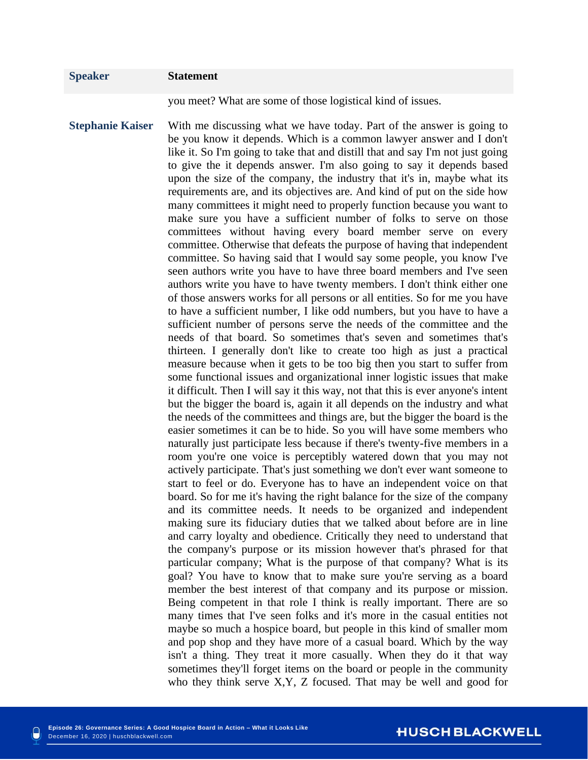you meet? What are some of those logistical kind of issues.

**Stephanie Kaiser** With me discussing what we have today. Part of the answer is going to be you know it depends. Which is a common lawyer answer and I don't like it. So I'm going to take that and distill that and say I'm not just going to give the it depends answer. I'm also going to say it depends based upon the size of the company, the industry that it's in, maybe what its requirements are, and its objectives are. And kind of put on the side how many committees it might need to properly function because you want to make sure you have a sufficient number of folks to serve on those committees without having every board member serve on every committee. Otherwise that defeats the purpose of having that independent committee. So having said that I would say some people, you know I've seen authors write you have to have three board members and I've seen authors write you have to have twenty members. I don't think either one of those answers works for all persons or all entities. So for me you have to have a sufficient number, I like odd numbers, but you have to have a sufficient number of persons serve the needs of the committee and the needs of that board. So sometimes that's seven and sometimes that's thirteen. I generally don't like to create too high as just a practical measure because when it gets to be too big then you start to suffer from some functional issues and organizational inner logistic issues that make it difficult. Then I will say it this way, not that this is ever anyone's intent but the bigger the board is, again it all depends on the industry and what the needs of the committees and things are, but the bigger the board is the easier sometimes it can be to hide. So you will have some members who naturally just participate less because if there's twenty-five members in a room you're one voice is perceptibly watered down that you may not actively participate. That's just something we don't ever want someone to start to feel or do. Everyone has to have an independent voice on that board. So for me it's having the right balance for the size of the company and its committee needs. It needs to be organized and independent making sure its fiduciary duties that we talked about before are in line and carry loyalty and obedience. Critically they need to understand that the company's purpose or its mission however that's phrased for that particular company; What is the purpose of that company? What is its goal? You have to know that to make sure you're serving as a board member the best interest of that company and its purpose or mission. Being competent in that role I think is really important. There are so many times that I've seen folks and it's more in the casual entities not maybe so much a hospice board, but people in this kind of smaller mom and pop shop and they have more of a casual board. Which by the way isn't a thing. They treat it more casually. When they do it that way sometimes they'll forget items on the board or people in the community who they think serve X,Y, Z focused. That may be well and good for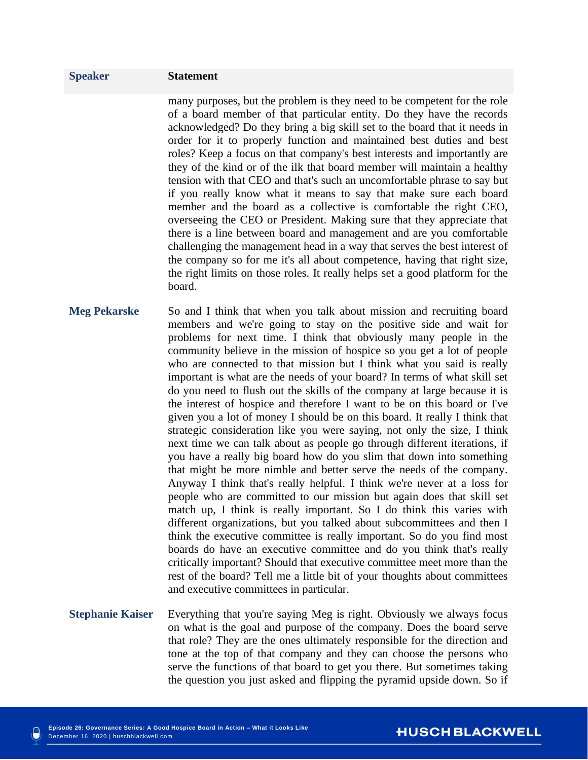many purposes, but the problem is they need to be competent for the role of a board member of that particular entity. Do they have the records acknowledged? Do they bring a big skill set to the board that it needs in order for it to properly function and maintained best duties and best roles? Keep a focus on that company's best interests and importantly are they of the kind or of the ilk that board member will maintain a healthy tension with that CEO and that's such an uncomfortable phrase to say but if you really know what it means to say that make sure each board member and the board as a collective is comfortable the right CEO, overseeing the CEO or President. Making sure that they appreciate that there is a line between board and management and are you comfortable challenging the management head in a way that serves the best interest of the company so for me it's all about competence, having that right size, the right limits on those roles. It really helps set a good platform for the board.

- **Meg Pekarske** So and I think that when you talk about mission and recruiting board members and we're going to stay on the positive side and wait for problems for next time. I think that obviously many people in the community believe in the mission of hospice so you get a lot of people who are connected to that mission but I think what you said is really important is what are the needs of your board? In terms of what skill set do you need to flush out the skills of the company at large because it is the interest of hospice and therefore I want to be on this board or I've given you a lot of money I should be on this board. It really I think that strategic consideration like you were saying, not only the size, I think next time we can talk about as people go through different iterations, if you have a really big board how do you slim that down into something that might be more nimble and better serve the needs of the company. Anyway I think that's really helpful. I think we're never at a loss for people who are committed to our mission but again does that skill set match up, I think is really important. So I do think this varies with different organizations, but you talked about subcommittees and then I think the executive committee is really important. So do you find most boards do have an executive committee and do you think that's really critically important? Should that executive committee meet more than the rest of the board? Tell me a little bit of your thoughts about committees and executive committees in particular.
- **Stephanie Kaiser** Everything that you're saying Meg is right. Obviously we always focus on what is the goal and purpose of the company. Does the board serve that role? They are the ones ultimately responsible for the direction and tone at the top of that company and they can choose the persons who serve the functions of that board to get you there. But sometimes taking the question you just asked and flipping the pyramid upside down. So if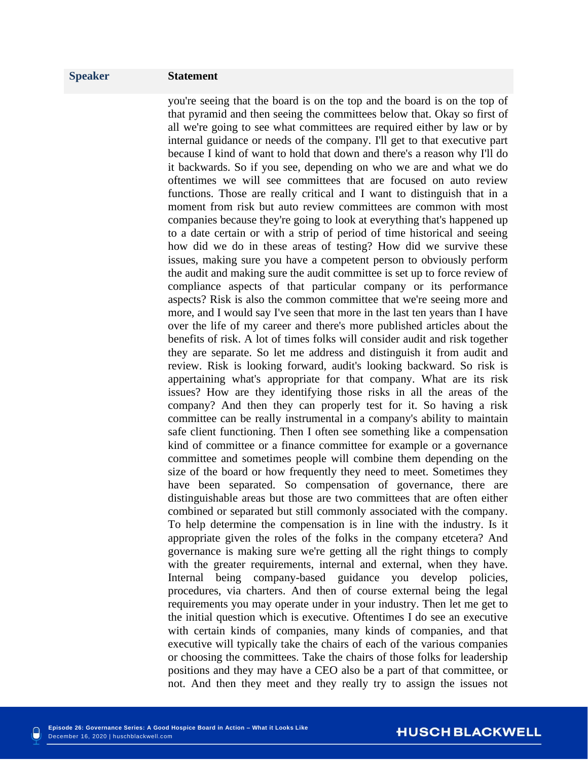you're seeing that the board is on the top and the board is on the top of that pyramid and then seeing the committees below that. Okay so first of all we're going to see what committees are required either by law or by internal guidance or needs of the company. I'll get to that executive part because I kind of want to hold that down and there's a reason why I'll do it backwards. So if you see, depending on who we are and what we do oftentimes we will see committees that are focused on auto review functions. Those are really critical and I want to distinguish that in a moment from risk but auto review committees are common with most companies because they're going to look at everything that's happened up to a date certain or with a strip of period of time historical and seeing how did we do in these areas of testing? How did we survive these issues, making sure you have a competent person to obviously perform the audit and making sure the audit committee is set up to force review of compliance aspects of that particular company or its performance aspects? Risk is also the common committee that we're seeing more and more, and I would say I've seen that more in the last ten years than I have over the life of my career and there's more published articles about the benefits of risk. A lot of times folks will consider audit and risk together they are separate. So let me address and distinguish it from audit and review. Risk is looking forward, audit's looking backward. So risk is appertaining what's appropriate for that company. What are its risk issues? How are they identifying those risks in all the areas of the company? And then they can properly test for it. So having a risk committee can be really instrumental in a company's ability to maintain safe client functioning. Then I often see something like a compensation kind of committee or a finance committee for example or a governance committee and sometimes people will combine them depending on the size of the board or how frequently they need to meet. Sometimes they have been separated. So compensation of governance, there are distinguishable areas but those are two committees that are often either combined or separated but still commonly associated with the company. To help determine the compensation is in line with the industry. Is it appropriate given the roles of the folks in the company etcetera? And governance is making sure we're getting all the right things to comply with the greater requirements, internal and external, when they have. Internal being company-based guidance you develop policies, procedures, via charters. And then of course external being the legal requirements you may operate under in your industry. Then let me get to the initial question which is executive. Oftentimes I do see an executive with certain kinds of companies, many kinds of companies, and that executive will typically take the chairs of each of the various companies or choosing the committees. Take the chairs of those folks for leadership positions and they may have a CEO also be a part of that committee, or not. And then they meet and they really try to assign the issues not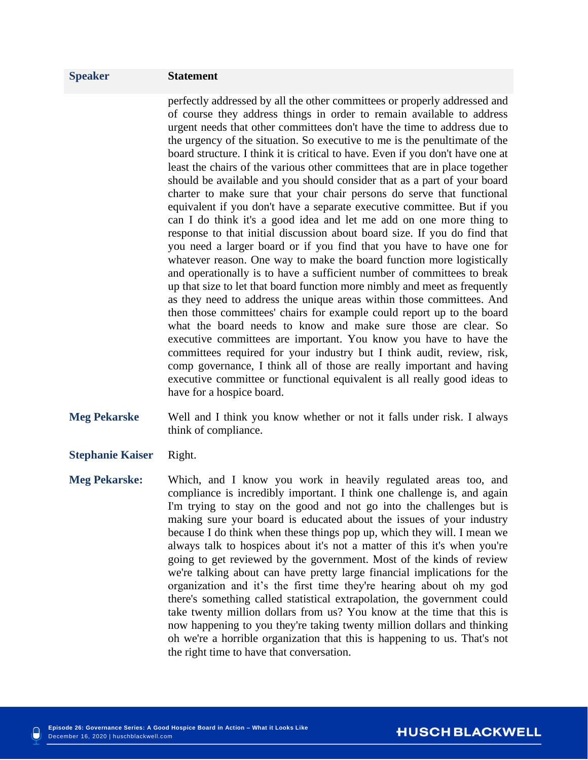perfectly addressed by all the other committees or properly addressed and of course they address things in order to remain available to address urgent needs that other committees don't have the time to address due to the urgency of the situation. So executive to me is the penultimate of the board structure. I think it is critical to have. Even if you don't have one at least the chairs of the various other committees that are in place together should be available and you should consider that as a part of your board charter to make sure that your chair persons do serve that functional equivalent if you don't have a separate executive committee. But if you can I do think it's a good idea and let me add on one more thing to response to that initial discussion about board size. If you do find that you need a larger board or if you find that you have to have one for whatever reason. One way to make the board function more logistically and operationally is to have a sufficient number of committees to break up that size to let that board function more nimbly and meet as frequently as they need to address the unique areas within those committees. And then those committees' chairs for example could report up to the board what the board needs to know and make sure those are clear. So executive committees are important. You know you have to have the committees required for your industry but I think audit, review, risk, comp governance, I think all of those are really important and having executive committee or functional equivalent is all really good ideas to have for a hospice board.

- **Meg Pekarske** Well and I think you know whether or not it falls under risk. I always think of compliance.
- **Stephanie Kaiser** Right.
- **Meg Pekarske:** Which, and I know you work in heavily regulated areas too, and compliance is incredibly important. I think one challenge is, and again I'm trying to stay on the good and not go into the challenges but is making sure your board is educated about the issues of your industry because I do think when these things pop up, which they will. I mean we always talk to hospices about it's not a matter of this it's when you're going to get reviewed by the government. Most of the kinds of review we're talking about can have pretty large financial implications for the organization and it's the first time they're hearing about oh my god there's something called statistical extrapolation, the government could take twenty million dollars from us? You know at the time that this is now happening to you they're taking twenty million dollars and thinking oh we're a horrible organization that this is happening to us. That's not the right time to have that conversation.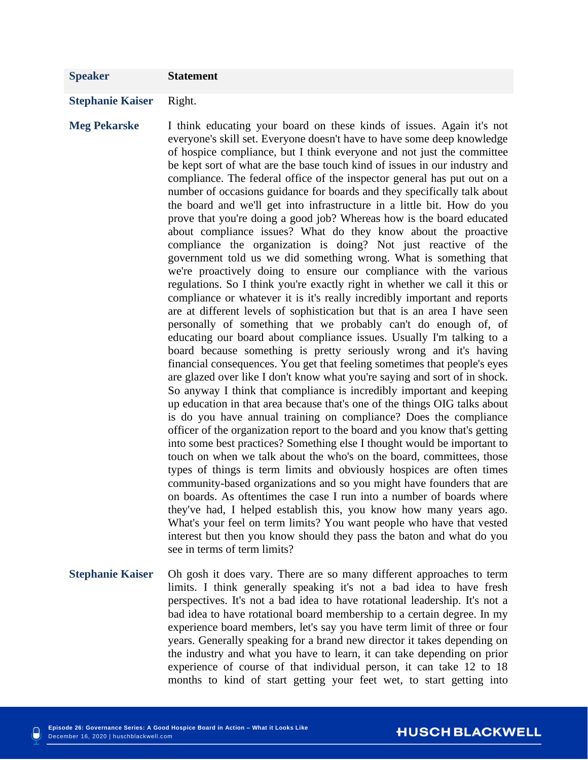### **Stephanie Kaiser** Right.

**Meg Pekarske** I think educating your board on these kinds of issues. Again it's not everyone's skill set. Everyone doesn't have to have some deep knowledge of hospice compliance, but I think everyone and not just the committee be kept sort of what are the base touch kind of issues in our industry and compliance. The federal office of the inspector general has put out on a number of occasions guidance for boards and they specifically talk about the board and we'll get into infrastructure in a little bit. How do you prove that you're doing a good job? Whereas how is the board educated about compliance issues? What do they know about the proactive compliance the organization is doing? Not just reactive of the government told us we did something wrong. What is something that we're proactively doing to ensure our compliance with the various regulations. So I think you're exactly right in whether we call it this or compliance or whatever it is it's really incredibly important and reports are at different levels of sophistication but that is an area I have seen personally of something that we probably can't do enough of, of educating our board about compliance issues. Usually I'm talking to a board because something is pretty seriously wrong and it's having financial consequences. You get that feeling sometimes that people's eyes are glazed over like I don't know what you're saying and sort of in shock. So anyway I think that compliance is incredibly important and keeping up education in that area because that's one of the things OIG talks about is do you have annual training on compliance? Does the compliance officer of the organization report to the board and you know that's getting into some best practices? Something else I thought would be important to touch on when we talk about the who's on the board, committees, those types of things is term limits and obviously hospices are often times community-based organizations and so you might have founders that are on boards. As oftentimes the case I run into a number of boards where they've had, I helped establish this, you know how many years ago. What's your feel on term limits? You want people who have that vested interest but then you know should they pass the baton and what do you see in terms of term limits?

# **Stephanie Kaiser** Oh gosh it does vary. There are so many different approaches to term limits. I think generally speaking it's not a bad idea to have fresh perspectives. It's not a bad idea to have rotational leadership. It's not a bad idea to have rotational board membership to a certain degree. In my experience board members, let's say you have term limit of three or four years. Generally speaking for a brand new director it takes depending on the industry and what you have to learn, it can take depending on prior experience of course of that individual person, it can take 12 to 18 months to kind of start getting your feet wet, to start getting into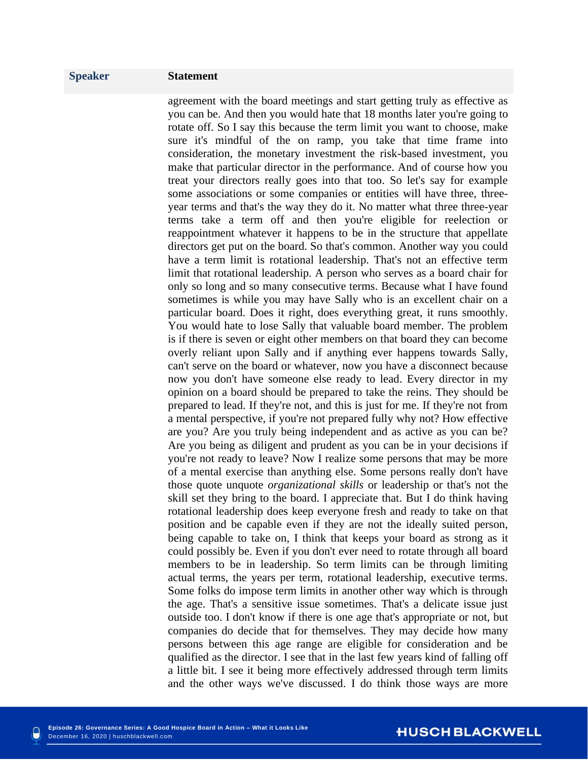agreement with the board meetings and start getting truly as effective as you can be. And then you would hate that 18 months later you're going to rotate off. So I say this because the term limit you want to choose, make sure it's mindful of the on ramp, you take that time frame into consideration, the monetary investment the risk-based investment, you make that particular director in the performance. And of course how you treat your directors really goes into that too. So let's say for example some associations or some companies or entities will have three, threeyear terms and that's the way they do it. No matter what three three-year terms take a term off and then you're eligible for reelection or reappointment whatever it happens to be in the structure that appellate directors get put on the board. So that's common. Another way you could have a term limit is rotational leadership. That's not an effective term limit that rotational leadership. A person who serves as a board chair for only so long and so many consecutive terms. Because what I have found sometimes is while you may have Sally who is an excellent chair on a particular board. Does it right, does everything great, it runs smoothly. You would hate to lose Sally that valuable board member. The problem is if there is seven or eight other members on that board they can become overly reliant upon Sally and if anything ever happens towards Sally, can't serve on the board or whatever, now you have a disconnect because now you don't have someone else ready to lead. Every director in my opinion on a board should be prepared to take the reins. They should be prepared to lead. If they're not, and this is just for me. If they're not from a mental perspective, if you're not prepared fully why not? How effective are you? Are you truly being independent and as active as you can be? Are you being as diligent and prudent as you can be in your decisions if you're not ready to leave? Now I realize some persons that may be more of a mental exercise than anything else. Some persons really don't have those quote unquote *organizational skills* or leadership or that's not the skill set they bring to the board. I appreciate that. But I do think having rotational leadership does keep everyone fresh and ready to take on that position and be capable even if they are not the ideally suited person, being capable to take on, I think that keeps your board as strong as it could possibly be. Even if you don't ever need to rotate through all board members to be in leadership. So term limits can be through limiting actual terms, the years per term, rotational leadership, executive terms. Some folks do impose term limits in another other way which is through the age. That's a sensitive issue sometimes. That's a delicate issue just outside too. I don't know if there is one age that's appropriate or not, but companies do decide that for themselves. They may decide how many persons between this age range are eligible for consideration and be qualified as the director. I see that in the last few years kind of falling off a little bit. I see it being more effectively addressed through term limits and the other ways we've discussed. I do think those ways are more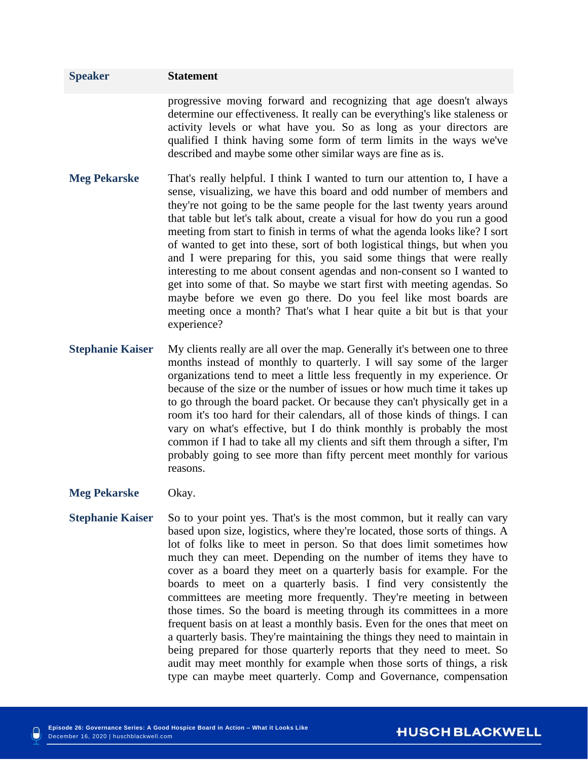# **Speaker Statement** progressive moving forward and recognizing that age doesn't always determine our effectiveness. It really can be everything's like staleness or activity levels or what have you. So as long as your directors are qualified I think having some form of term limits in the ways we've described and maybe some other similar ways are fine as is. **Meg Pekarske** That's really helpful. I think I wanted to turn our attention to, I have a sense, visualizing, we have this board and odd number of members and they're not going to be the same people for the last twenty years around that table but let's talk about, create a visual for how do you run a good meeting from start to finish in terms of what the agenda looks like? I sort

- of wanted to get into these, sort of both logistical things, but when you and I were preparing for this, you said some things that were really interesting to me about consent agendas and non-consent so I wanted to get into some of that. So maybe we start first with meeting agendas. So maybe before we even go there. Do you feel like most boards are meeting once a month? That's what I hear quite a bit but is that your experience?
- **Stephanie Kaiser** My clients really are all over the map. Generally it's between one to three months instead of monthly to quarterly. I will say some of the larger organizations tend to meet a little less frequently in my experience. Or because of the size or the number of issues or how much time it takes up to go through the board packet. Or because they can't physically get in a room it's too hard for their calendars, all of those kinds of things. I can vary on what's effective, but I do think monthly is probably the most common if I had to take all my clients and sift them through a sifter, I'm probably going to see more than fifty percent meet monthly for various reasons.
- **Meg Pekarske** Okay.
- **Stephanie Kaiser** So to your point yes. That's is the most common, but it really can vary based upon size, logistics, where they're located, those sorts of things. A lot of folks like to meet in person. So that does limit sometimes how much they can meet. Depending on the number of items they have to cover as a board they meet on a quarterly basis for example. For the boards to meet on a quarterly basis. I find very consistently the committees are meeting more frequently. They're meeting in between those times. So the board is meeting through its committees in a more frequent basis on at least a monthly basis. Even for the ones that meet on a quarterly basis. They're maintaining the things they need to maintain in being prepared for those quarterly reports that they need to meet. So audit may meet monthly for example when those sorts of things, a risk type can maybe meet quarterly. Comp and Governance, compensation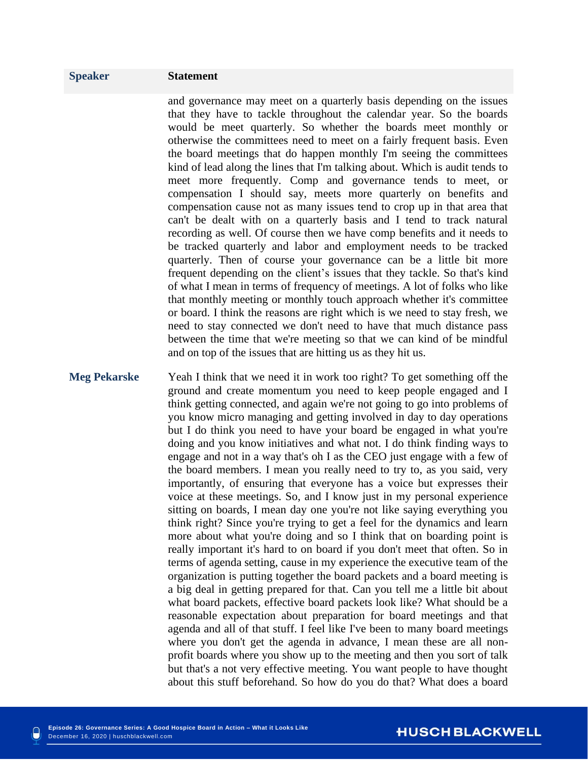and governance may meet on a quarterly basis depending on the issues that they have to tackle throughout the calendar year. So the boards would be meet quarterly. So whether the boards meet monthly or otherwise the committees need to meet on a fairly frequent basis. Even the board meetings that do happen monthly I'm seeing the committees kind of lead along the lines that I'm talking about. Which is audit tends to meet more frequently. Comp and governance tends to meet, or compensation I should say, meets more quarterly on benefits and compensation cause not as many issues tend to crop up in that area that can't be dealt with on a quarterly basis and I tend to track natural recording as well. Of course then we have comp benefits and it needs to be tracked quarterly and labor and employment needs to be tracked quarterly. Then of course your governance can be a little bit more frequent depending on the client's issues that they tackle. So that's kind of what I mean in terms of frequency of meetings. A lot of folks who like that monthly meeting or monthly touch approach whether it's committee or board. I think the reasons are right which is we need to stay fresh, we need to stay connected we don't need to have that much distance pass between the time that we're meeting so that we can kind of be mindful and on top of the issues that are hitting us as they hit us.

# **Meg Pekarske** Yeah I think that we need it in work too right? To get something off the ground and create momentum you need to keep people engaged and I think getting connected, and again we're not going to go into problems of you know micro managing and getting involved in day to day operations but I do think you need to have your board be engaged in what you're doing and you know initiatives and what not. I do think finding ways to engage and not in a way that's oh I as the CEO just engage with a few of the board members. I mean you really need to try to, as you said, very importantly, of ensuring that everyone has a voice but expresses their voice at these meetings. So, and I know just in my personal experience sitting on boards, I mean day one you're not like saying everything you think right? Since you're trying to get a feel for the dynamics and learn more about what you're doing and so I think that on boarding point is really important it's hard to on board if you don't meet that often. So in terms of agenda setting, cause in my experience the executive team of the organization is putting together the board packets and a board meeting is a big deal in getting prepared for that. Can you tell me a little bit about what board packets, effective board packets look like? What should be a reasonable expectation about preparation for board meetings and that agenda and all of that stuff. I feel like I've been to many board meetings where you don't get the agenda in advance, I mean these are all nonprofit boards where you show up to the meeting and then you sort of talk but that's a not very effective meeting. You want people to have thought about this stuff beforehand. So how do you do that? What does a board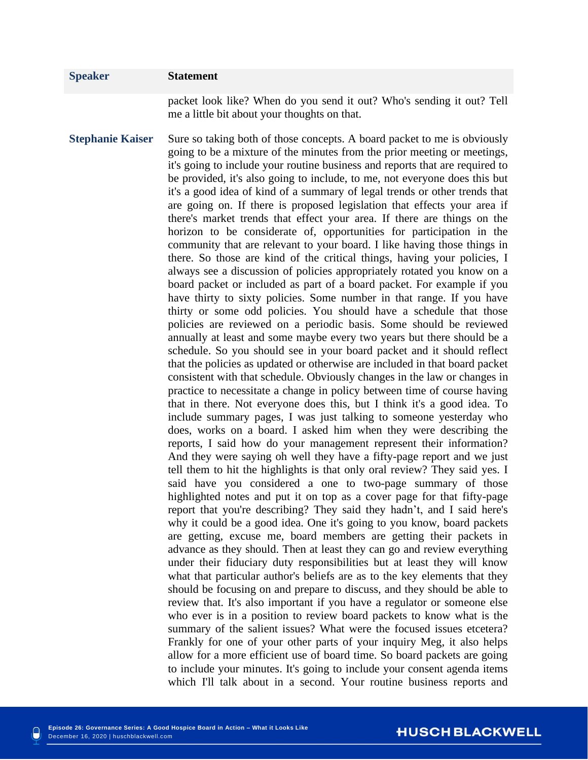packet look like? When do you send it out? Who's sending it out? Tell me a little bit about your thoughts on that.

**Stephanie Kaiser** Sure so taking both of those concepts. A board packet to me is obviously going to be a mixture of the minutes from the prior meeting or meetings, it's going to include your routine business and reports that are required to be provided, it's also going to include, to me, not everyone does this but it's a good idea of kind of a summary of legal trends or other trends that are going on. If there is proposed legislation that effects your area if there's market trends that effect your area. If there are things on the horizon to be considerate of, opportunities for participation in the community that are relevant to your board. I like having those things in there. So those are kind of the critical things, having your policies, I always see a discussion of policies appropriately rotated you know on a board packet or included as part of a board packet. For example if you have thirty to sixty policies. Some number in that range. If you have thirty or some odd policies. You should have a schedule that those policies are reviewed on a periodic basis. Some should be reviewed annually at least and some maybe every two years but there should be a schedule. So you should see in your board packet and it should reflect that the policies as updated or otherwise are included in that board packet consistent with that schedule. Obviously changes in the law or changes in practice to necessitate a change in policy between time of course having that in there. Not everyone does this, but I think it's a good idea. To include summary pages, I was just talking to someone yesterday who does, works on a board. I asked him when they were describing the reports, I said how do your management represent their information? And they were saying oh well they have a fifty-page report and we just tell them to hit the highlights is that only oral review? They said yes. I said have you considered a one to two-page summary of those highlighted notes and put it on top as a cover page for that fifty-page report that you're describing? They said they hadn't, and I said here's why it could be a good idea. One it's going to you know, board packets are getting, excuse me, board members are getting their packets in advance as they should. Then at least they can go and review everything under their fiduciary duty responsibilities but at least they will know what that particular author's beliefs are as to the key elements that they should be focusing on and prepare to discuss, and they should be able to review that. It's also important if you have a regulator or someone else who ever is in a position to review board packets to know what is the summary of the salient issues? What were the focused issues etcetera? Frankly for one of your other parts of your inquiry Meg, it also helps allow for a more efficient use of board time. So board packets are going to include your minutes. It's going to include your consent agenda items which I'll talk about in a second. Your routine business reports and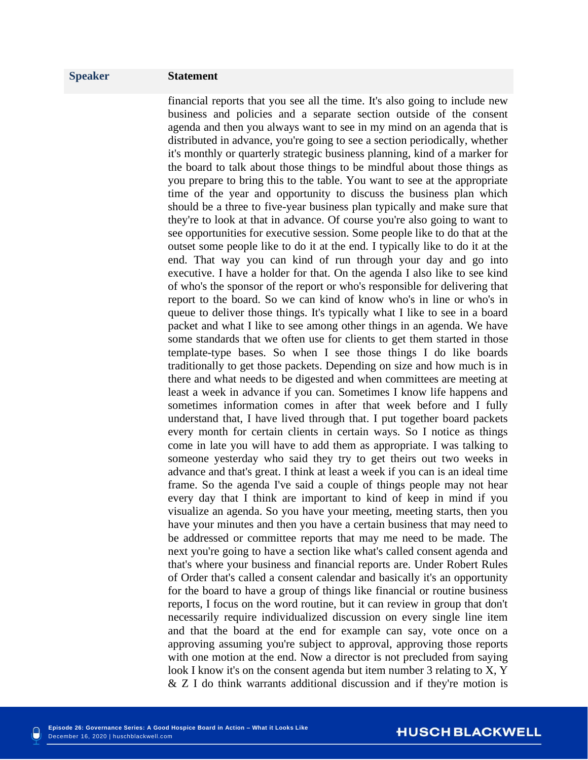financial reports that you see all the time. It's also going to include new business and policies and a separate section outside of the consent agenda and then you always want to see in my mind on an agenda that is distributed in advance, you're going to see a section periodically, whether it's monthly or quarterly strategic business planning, kind of a marker for the board to talk about those things to be mindful about those things as you prepare to bring this to the table. You want to see at the appropriate time of the year and opportunity to discuss the business plan which should be a three to five-year business plan typically and make sure that they're to look at that in advance. Of course you're also going to want to see opportunities for executive session. Some people like to do that at the outset some people like to do it at the end. I typically like to do it at the end. That way you can kind of run through your day and go into executive. I have a holder for that. On the agenda I also like to see kind of who's the sponsor of the report or who's responsible for delivering that report to the board. So we can kind of know who's in line or who's in queue to deliver those things. It's typically what I like to see in a board packet and what I like to see among other things in an agenda. We have some standards that we often use for clients to get them started in those template-type bases. So when I see those things I do like boards traditionally to get those packets. Depending on size and how much is in there and what needs to be digested and when committees are meeting at least a week in advance if you can. Sometimes I know life happens and sometimes information comes in after that week before and I fully understand that, I have lived through that. I put together board packets every month for certain clients in certain ways. So I notice as things come in late you will have to add them as appropriate. I was talking to someone yesterday who said they try to get theirs out two weeks in advance and that's great. I think at least a week if you can is an ideal time frame. So the agenda I've said a couple of things people may not hear every day that I think are important to kind of keep in mind if you visualize an agenda. So you have your meeting, meeting starts, then you have your minutes and then you have a certain business that may need to be addressed or committee reports that may me need to be made. The next you're going to have a section like what's called consent agenda and that's where your business and financial reports are. Under Robert Rules of Order that's called a consent calendar and basically it's an opportunity for the board to have a group of things like financial or routine business reports, I focus on the word routine, but it can review in group that don't necessarily require individualized discussion on every single line item and that the board at the end for example can say, vote once on a approving assuming you're subject to approval, approving those reports with one motion at the end. Now a director is not precluded from saying look I know it's on the consent agenda but item number 3 relating to X, Y & Z I do think warrants additional discussion and if they're motion is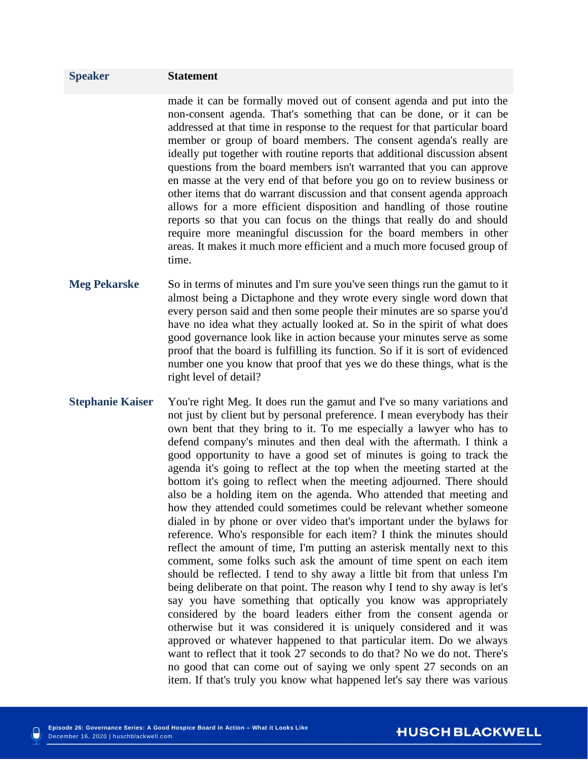made it can be formally moved out of consent agenda and put into the non-consent agenda. That's something that can be done, or it can be addressed at that time in response to the request for that particular board member or group of board members. The consent agenda's really are ideally put together with routine reports that additional discussion absent questions from the board members isn't warranted that you can approve en masse at the very end of that before you go on to review business or other items that do warrant discussion and that consent agenda approach allows for a more efficient disposition and handling of those routine reports so that you can focus on the things that really do and should require more meaningful discussion for the board members in other areas. It makes it much more efficient and a much more focused group of time.

- **Meg Pekarske** So in terms of minutes and I'm sure you've seen things run the gamut to it almost being a Dictaphone and they wrote every single word down that every person said and then some people their minutes are so sparse you'd have no idea what they actually looked at. So in the spirit of what does good governance look like in action because your minutes serve as some proof that the board is fulfilling its function. So if it is sort of evidenced number one you know that proof that yes we do these things, what is the right level of detail?
- **Stephanie Kaiser** You're right Meg. It does run the gamut and I've so many variations and not just by client but by personal preference. I mean everybody has their own bent that they bring to it. To me especially a lawyer who has to defend company's minutes and then deal with the aftermath. I think a good opportunity to have a good set of minutes is going to track the agenda it's going to reflect at the top when the meeting started at the bottom it's going to reflect when the meeting adjourned. There should also be a holding item on the agenda. Who attended that meeting and how they attended could sometimes could be relevant whether someone dialed in by phone or over video that's important under the bylaws for reference. Who's responsible for each item? I think the minutes should reflect the amount of time, I'm putting an asterisk mentally next to this comment, some folks such ask the amount of time spent on each item should be reflected. I tend to shy away a little bit from that unless I'm being deliberate on that point. The reason why I tend to shy away is let's say you have something that optically you know was appropriately considered by the board leaders either from the consent agenda or otherwise but it was considered it is uniquely considered and it was approved or whatever happened to that particular item. Do we always want to reflect that it took 27 seconds to do that? No we do not. There's no good that can come out of saying we only spent 27 seconds on an item. If that's truly you know what happened let's say there was various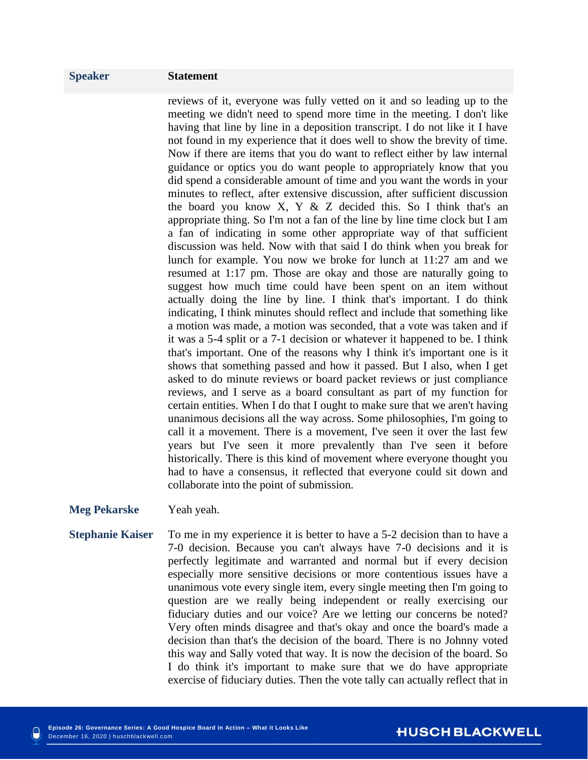reviews of it, everyone was fully vetted on it and so leading up to the meeting we didn't need to spend more time in the meeting. I don't like having that line by line in a deposition transcript. I do not like it I have not found in my experience that it does well to show the brevity of time. Now if there are items that you do want to reflect either by law internal guidance or optics you do want people to appropriately know that you did spend a considerable amount of time and you want the words in your minutes to reflect, after extensive discussion, after sufficient discussion the board you know X, Y & Z decided this. So I think that's an appropriate thing. So I'm not a fan of the line by line time clock but I am a fan of indicating in some other appropriate way of that sufficient discussion was held. Now with that said I do think when you break for lunch for example. You now we broke for lunch at 11:27 am and we resumed at 1:17 pm. Those are okay and those are naturally going to suggest how much time could have been spent on an item without actually doing the line by line. I think that's important. I do think indicating, I think minutes should reflect and include that something like a motion was made, a motion was seconded, that a vote was taken and if it was a 5-4 split or a 7-1 decision or whatever it happened to be. I think that's important. One of the reasons why I think it's important one is it shows that something passed and how it passed. But I also, when I get asked to do minute reviews or board packet reviews or just compliance reviews, and I serve as a board consultant as part of my function for certain entities. When I do that I ought to make sure that we aren't having unanimous decisions all the way across. Some philosophies, I'm going to call it a movement. There is a movement, I've seen it over the last few years but I've seen it more prevalently than I've seen it before historically. There is this kind of movement where everyone thought you had to have a consensus, it reflected that everyone could sit down and collaborate into the point of submission.

### **Meg Pekarske** Yeah yeah.

**Stephanie Kaiser** To me in my experience it is better to have a 5-2 decision than to have a 7-0 decision. Because you can't always have 7-0 decisions and it is perfectly legitimate and warranted and normal but if every decision especially more sensitive decisions or more contentious issues have a unanimous vote every single item, every single meeting then I'm going to question are we really being independent or really exercising our fiduciary duties and our voice? Are we letting our concerns be noted? Very often minds disagree and that's okay and once the board's made a decision than that's the decision of the board. There is no Johnny voted this way and Sally voted that way. It is now the decision of the board. So I do think it's important to make sure that we do have appropriate exercise of fiduciary duties. Then the vote tally can actually reflect that in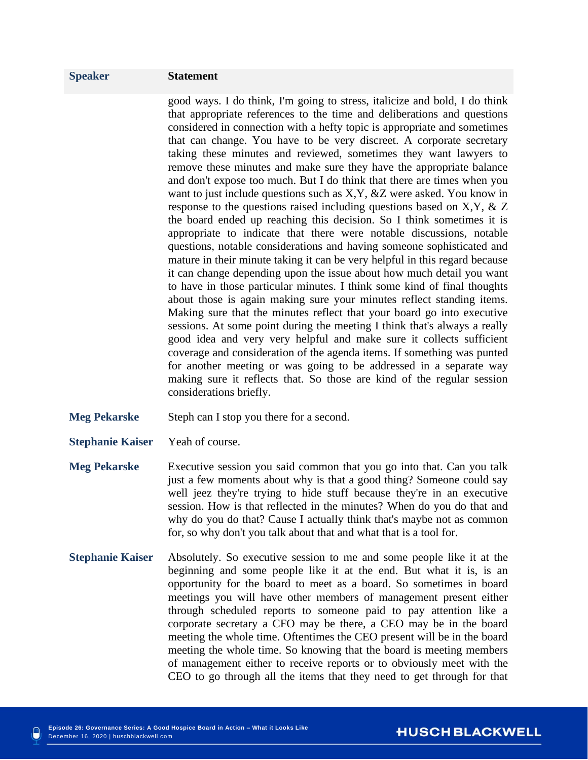good ways. I do think, I'm going to stress, italicize and bold, I do think that appropriate references to the time and deliberations and questions considered in connection with a hefty topic is appropriate and sometimes that can change. You have to be very discreet. A corporate secretary taking these minutes and reviewed, sometimes they want lawyers to remove these minutes and make sure they have the appropriate balance and don't expose too much. But I do think that there are times when you want to just include questions such as X,Y, &Z were asked. You know in response to the questions raised including questions based on X,Y, & Z the board ended up reaching this decision. So I think sometimes it is appropriate to indicate that there were notable discussions, notable questions, notable considerations and having someone sophisticated and mature in their minute taking it can be very helpful in this regard because it can change depending upon the issue about how much detail you want to have in those particular minutes. I think some kind of final thoughts about those is again making sure your minutes reflect standing items. Making sure that the minutes reflect that your board go into executive sessions. At some point during the meeting I think that's always a really good idea and very very helpful and make sure it collects sufficient coverage and consideration of the agenda items. If something was punted for another meeting or was going to be addressed in a separate way making sure it reflects that. So those are kind of the regular session considerations briefly.

- **Meg Pekarske** Steph can I stop you there for a second.
- **Stephanie Kaiser** Yeah of course.
- **Meg Pekarske** Executive session you said common that you go into that. Can you talk just a few moments about why is that a good thing? Someone could say well jeez they're trying to hide stuff because they're in an executive session. How is that reflected in the minutes? When do you do that and why do you do that? Cause I actually think that's maybe not as common for, so why don't you talk about that and what that is a tool for.
- **Stephanie Kaiser** Absolutely. So executive session to me and some people like it at the beginning and some people like it at the end. But what it is, is an opportunity for the board to meet as a board. So sometimes in board meetings you will have other members of management present either through scheduled reports to someone paid to pay attention like a corporate secretary a CFO may be there, a CEO may be in the board meeting the whole time. Oftentimes the CEO present will be in the board meeting the whole time. So knowing that the board is meeting members of management either to receive reports or to obviously meet with the CEO to go through all the items that they need to get through for that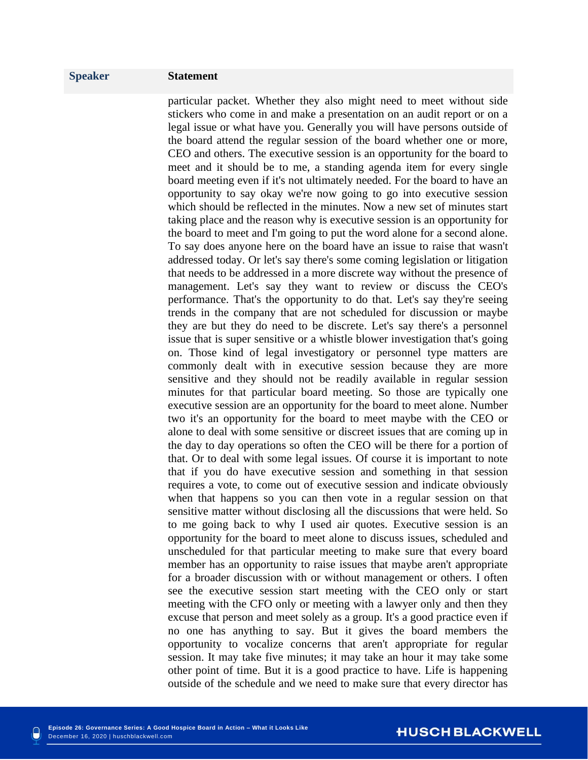particular packet. Whether they also might need to meet without side stickers who come in and make a presentation on an audit report or on a legal issue or what have you. Generally you will have persons outside of the board attend the regular session of the board whether one or more, CEO and others. The executive session is an opportunity for the board to meet and it should be to me, a standing agenda item for every single board meeting even if it's not ultimately needed. For the board to have an opportunity to say okay we're now going to go into executive session which should be reflected in the minutes. Now a new set of minutes start taking place and the reason why is executive session is an opportunity for the board to meet and I'm going to put the word alone for a second alone. To say does anyone here on the board have an issue to raise that wasn't addressed today. Or let's say there's some coming legislation or litigation that needs to be addressed in a more discrete way without the presence of management. Let's say they want to review or discuss the CEO's performance. That's the opportunity to do that. Let's say they're seeing trends in the company that are not scheduled for discussion or maybe they are but they do need to be discrete. Let's say there's a personnel issue that is super sensitive or a whistle blower investigation that's going on. Those kind of legal investigatory or personnel type matters are commonly dealt with in executive session because they are more sensitive and they should not be readily available in regular session minutes for that particular board meeting. So those are typically one executive session are an opportunity for the board to meet alone. Number two it's an opportunity for the board to meet maybe with the CEO or alone to deal with some sensitive or discreet issues that are coming up in the day to day operations so often the CEO will be there for a portion of that. Or to deal with some legal issues. Of course it is important to note that if you do have executive session and something in that session requires a vote, to come out of executive session and indicate obviously when that happens so you can then vote in a regular session on that sensitive matter without disclosing all the discussions that were held. So to me going back to why I used air quotes. Executive session is an opportunity for the board to meet alone to discuss issues, scheduled and unscheduled for that particular meeting to make sure that every board member has an opportunity to raise issues that maybe aren't appropriate for a broader discussion with or without management or others. I often see the executive session start meeting with the CEO only or start meeting with the CFO only or meeting with a lawyer only and then they excuse that person and meet solely as a group. It's a good practice even if no one has anything to say. But it gives the board members the opportunity to vocalize concerns that aren't appropriate for regular session. It may take five minutes; it may take an hour it may take some other point of time. But it is a good practice to have. Life is happening outside of the schedule and we need to make sure that every director has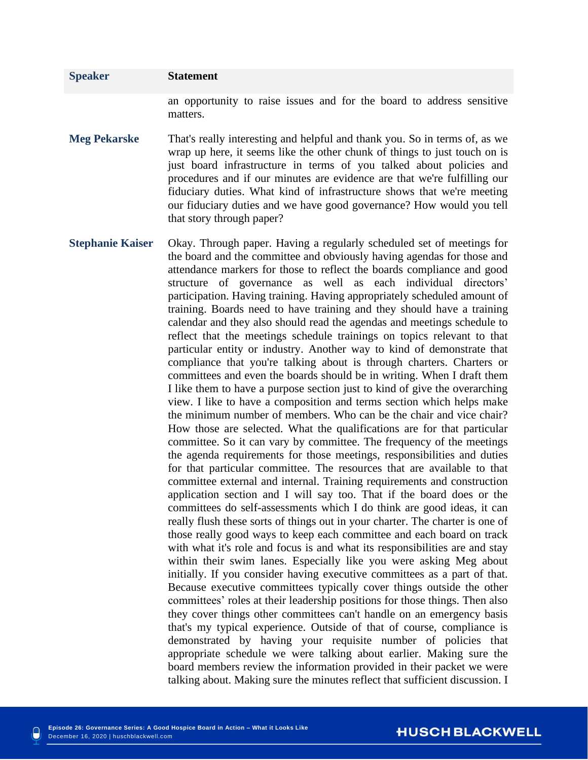an opportunity to raise issues and for the board to address sensitive matters.

- **Meg Pekarske** That's really interesting and helpful and thank you. So in terms of, as we wrap up here, it seems like the other chunk of things to just touch on is just board infrastructure in terms of you talked about policies and procedures and if our minutes are evidence are that we're fulfilling our fiduciary duties. What kind of infrastructure shows that we're meeting our fiduciary duties and we have good governance? How would you tell that story through paper?
- **Stephanie Kaiser** Okay. Through paper. Having a regularly scheduled set of meetings for the board and the committee and obviously having agendas for those and attendance markers for those to reflect the boards compliance and good structure of governance as well as each individual directors' participation. Having training. Having appropriately scheduled amount of training. Boards need to have training and they should have a training calendar and they also should read the agendas and meetings schedule to reflect that the meetings schedule trainings on topics relevant to that particular entity or industry. Another way to kind of demonstrate that compliance that you're talking about is through charters. Charters or committees and even the boards should be in writing. When I draft them I like them to have a purpose section just to kind of give the overarching view. I like to have a composition and terms section which helps make the minimum number of members. Who can be the chair and vice chair? How those are selected. What the qualifications are for that particular committee. So it can vary by committee. The frequency of the meetings the agenda requirements for those meetings, responsibilities and duties for that particular committee. The resources that are available to that committee external and internal. Training requirements and construction application section and I will say too. That if the board does or the committees do self-assessments which I do think are good ideas, it can really flush these sorts of things out in your charter. The charter is one of those really good ways to keep each committee and each board on track with what it's role and focus is and what its responsibilities are and stay within their swim lanes. Especially like you were asking Meg about initially. If you consider having executive committees as a part of that. Because executive committees typically cover things outside the other committees' roles at their leadership positions for those things. Then also they cover things other committees can't handle on an emergency basis that's my typical experience. Outside of that of course, compliance is demonstrated by having your requisite number of policies that appropriate schedule we were talking about earlier. Making sure the board members review the information provided in their packet we were talking about. Making sure the minutes reflect that sufficient discussion. I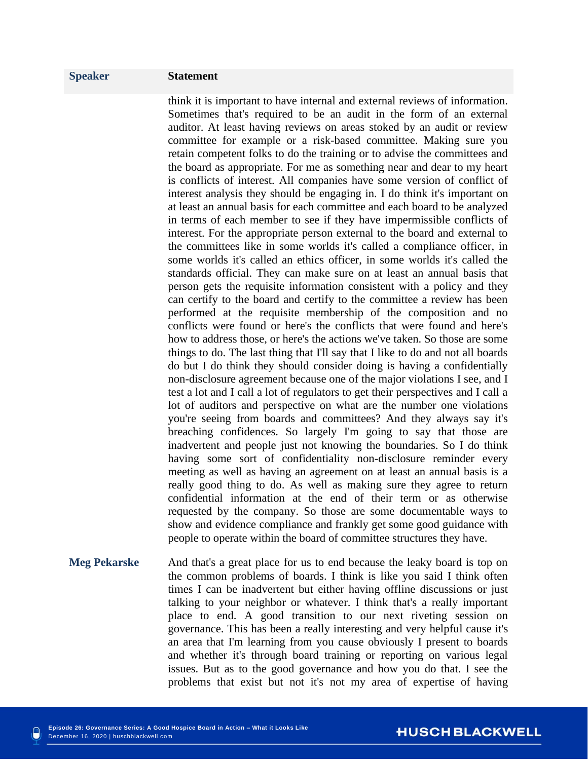think it is important to have internal and external reviews of information. Sometimes that's required to be an audit in the form of an external auditor. At least having reviews on areas stoked by an audit or review committee for example or a risk-based committee. Making sure you retain competent folks to do the training or to advise the committees and the board as appropriate. For me as something near and dear to my heart is conflicts of interest. All companies have some version of conflict of interest analysis they should be engaging in. I do think it's important on at least an annual basis for each committee and each board to be analyzed in terms of each member to see if they have impermissible conflicts of interest. For the appropriate person external to the board and external to the committees like in some worlds it's called a compliance officer, in some worlds it's called an ethics officer, in some worlds it's called the standards official. They can make sure on at least an annual basis that person gets the requisite information consistent with a policy and they can certify to the board and certify to the committee a review has been performed at the requisite membership of the composition and no conflicts were found or here's the conflicts that were found and here's how to address those, or here's the actions we've taken. So those are some things to do. The last thing that I'll say that I like to do and not all boards do but I do think they should consider doing is having a confidentially non-disclosure agreement because one of the major violations I see, and I test a lot and I call a lot of regulators to get their perspectives and I call a lot of auditors and perspective on what are the number one violations you're seeing from boards and committees? And they always say it's breaching confidences. So largely I'm going to say that those are inadvertent and people just not knowing the boundaries. So I do think having some sort of confidentiality non-disclosure reminder every meeting as well as having an agreement on at least an annual basis is a really good thing to do. As well as making sure they agree to return confidential information at the end of their term or as otherwise requested by the company. So those are some documentable ways to show and evidence compliance and frankly get some good guidance with people to operate within the board of committee structures they have.

**Meg Pekarske** And that's a great place for us to end because the leaky board is top on the common problems of boards. I think is like you said I think often times I can be inadvertent but either having offline discussions or just talking to your neighbor or whatever. I think that's a really important place to end. A good transition to our next riveting session on governance. This has been a really interesting and very helpful cause it's an area that I'm learning from you cause obviously I present to boards and whether it's through board training or reporting on various legal issues. But as to the good governance and how you do that. I see the problems that exist but not it's not my area of expertise of having